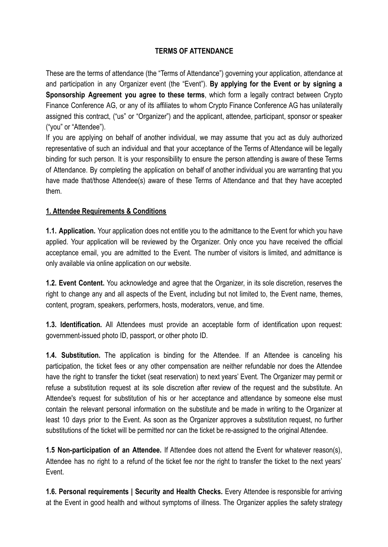### **TERMS OF ATTENDANCE**

These are the terms of attendance (the "Terms of Attendance") governing your application, attendance at and participation in any Organizer event (the "Event"). **By applying for the Event or by signing a Sponsorship Agreement you agree to these terms**, which form a legally contract between Crypto Finance Conference AG, or any of its affiliates to whom Crypto Finance Conference AG has unilaterally assigned this contract, ("us" or "Organizer") and the applicant, attendee, participant, sponsor or speaker ("you" or "Attendee").

If you are applying on behalf of another individual, we may assume that you act as duly authorized representative of such an individual and that your acceptance of the Terms of Attendance will be legally binding for such person. It is your responsibility to ensure the person attending is aware of these Terms of Attendance. By completing the application on behalf of another individual you are warranting that you have made that/those Attendee(s) aware of these Terms of Attendance and that they have accepted them.

### **1. Attendee Requirements & Conditions**

**1.1. Application.** Your application does not entitle you to the admittance to the Event for which you have applied. Your application will be reviewed by the Organizer. Only once you have received the official acceptance email, you are admitted to the Event. The number of visitors is limited, and admittance is only available via online application on our website.

**1.2. Event Content.** You acknowledge and agree that the Organizer, in its sole discretion, reserves the right to change any and all aspects of the Event, including but not limited to, the Event name, themes, content, program, speakers, performers, hosts, moderators, venue, and time.

**1.3. Identification.** All Attendees must provide an acceptable form of identification upon request: government-issued photo ID, passport, or other photo ID.

**1.4. Substitution.** The application is binding for the Attendee. If an Attendee is canceling his participation, the ticket fees or any other compensation are neither refundable nor does the Attendee have the right to transfer the ticket (seat reservation) to next years' Event. The Organizer may permit or refuse a substitution request at its sole discretion after review of the request and the substitute. An Attendee's request for substitution of his or her acceptance and attendance by someone else must contain the relevant personal information on the substitute and be made in writing to the Organizer at least 10 days prior to the Event. As soon as the Organizer approves a substitution request, no further substitutions of the ticket will be permitted nor can the ticket be re-assigned to the original Attendee.

**1.5 Non-participation of an Attendee.** If Attendee does not attend the Event for whatever reason(s), Attendee has no right to a refund of the ticket fee nor the right to transfer the ticket to the next years' Event.

**1.6. Personal requirements | Security and Health Checks.** Every Attendee is responsible for arriving at the Event in good health and without symptoms of illness. The Organizer applies the safety strategy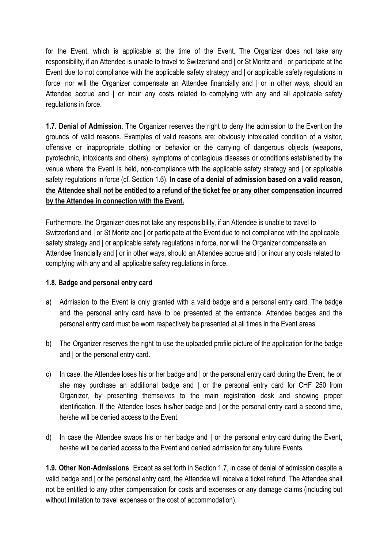for the Event, which is applicable at the time of the Event. The Organizer does not take any responsibility, if an Attendee is unable to travel to Switzerland and | or St Moritz and | or participate at the Event due to not compliance with the applicable safety strategy and | or applicable safety regulations in force, nor will the Organizer compensate an Attendee financially and | or in other ways, should an Attendee accrue and | or incur any costs related to complying with any and all applicable safety regulations in force.

**1.7. Denial of Admission**. The Organizer reserves the right to deny the admission to the Event on the grounds of valid reasons. Examples of valid reasons are: obviously intoxicated condition of a visitor, offensive or inappropriate clothing or behavior or the carrying of dangerous objects (weapons, pyrotechnic, intoxicants and others), symptoms of contagious diseases or conditions established by the venue where the Event is held, non-compliance with the applicable safety strategy and | or applicable safety regulations in force (cf. Section 1.6). **In case of a denial of admission based on a valid reason,** the Attendee shall not be entitled to a refund of the ticket fee or any other compensation incurred **by the Attendee in connection with the Event.**

Furthermore, the Organizer does not take any responsibility, if an Attendee is unable to travel to Switzerland and | or St Moritz and | or participate at the Event due to not compliance with the applicable safety strategy and | or applicable safety regulations in force, nor will the Organizer compensate an Attendee financially and | or in other ways, should an Attendee accrue and | or incur any costs related to complying with any and all applicable safety regulations in force.

#### **1.8. Badge and personal entry card**

- a) Admission to the Event is only granted with a valid badge and a personal entry card. The badge and the personal entry card have to be presented at the entrance. Attendee badges and the personal entry card must be worn respectively be presented at all times in the Event areas.
- b) The Organizer reserves the right to use the uploaded profile picture of the application for the badge and | or the personal entry card.
- c) In case, the Attendee loses his or her badge and | or the personal entry card during the Event, he or she may purchase an additional badge and | or the personal entry card for CHF 250 from Organizer, by presenting themselves to the main registration desk and showing proper identification. If the Attendee loses his/her badge and I or the personal entry card a second time, he/she will be denied access to the Event.
- d) In case the Attendee swaps his or her badge and | or the personal entry card during the Event, he/she will be denied access to the Event and denied admission for any future Events.

**1.9. Other Non-Admissions**. Except as set forth in Section 1.7, in case of denial of admission despite a valid badge and | or the personal entry card, the Attendee will receive a ticket refund. The Attendee shall not be entitled to any other compensation for costs and expenses or any damage claims (including but without limitation to travel expenses or the cost of accommodation).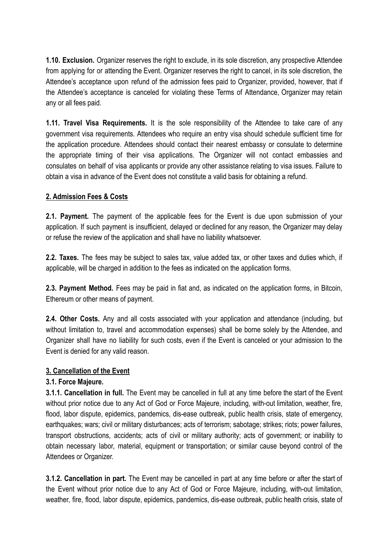**1.10. Exclusion.** Organizer reserves the right to exclude, in its sole discretion, any prospective Attendee from applying for or attending the Event. Organizer reserves the right to cancel, in its sole discretion, the Attendee's acceptance upon refund of the admission fees paid to Organizer, provided, however, that if the Attendee's acceptance is canceled for violating these Terms of Attendance, Organizer may retain any or all fees paid.

**1.11. Travel Visa Requirements.** It is the sole responsibility of the Attendee to take care of any government visa requirements. Attendees who require an entry visa should schedule sufficient time for the application procedure. Attendees should contact their nearest embassy or consulate to determine the appropriate timing of their visa applications. The Organizer will not contact embassies and consulates on behalf of visa applicants or provide any other assistance relating to visa issues. Failure to obtain a visa in advance of the Event does not constitute a valid basis for obtaining a refund.

# **2. Admission Fees & Costs**

**2.1. Payment.** The payment of the applicable fees for the Event is due upon submission of your application. If such payment is insufficient, delayed or declined for any reason, the Organizer may delay or refuse the review of the application and shall have no liability whatsoever.

**2.2. Taxes.** The fees may be subject to sales tax, value added tax, or other taxes and duties which, if applicable, will be charged in addition to the fees as indicated on the application forms.

**2.3. Payment Method.** Fees may be paid in fiat and, as indicated on the application forms, in Bitcoin, Ethereum or other means of payment.

**2.4. Other Costs.** Any and all costs associated with your application and attendance (including, but without limitation to, travel and accommodation expenses) shall be borne solely by the Attendee, and Organizer shall have no liability for such costs, even if the Event is canceled or your admission to the Event is denied for any valid reason.

### **3. Cancellation of the Event**

### **3.1. Force Majeure.**

**3.1.1. Cancellation in full.** The Event may be cancelled in full at any time before the start of the Event without prior notice due to any Act of God or Force Majeure, including, with-out limitation, weather, fire, flood, labor dispute, epidemics, pandemics, dis-ease outbreak, public health crisis, state of emergency, earthquakes; wars; civil or military disturbances; acts of terrorism; sabotage; strikes; riots; power failures, transport obstructions, accidents; acts of civil or military authority; acts of government; or inability to obtain necessary labor, material, equipment or transportation; or similar cause beyond control of the Attendees or Organizer.

**3.1.2. Cancellation in part.** The Event may be cancelled in part at any time before or after the start of the Event without prior notice due to any Act of God or Force Majeure, including, with-out limitation, weather, fire, flood, labor dispute, epidemics, pandemics, dis-ease outbreak, public health crisis, state of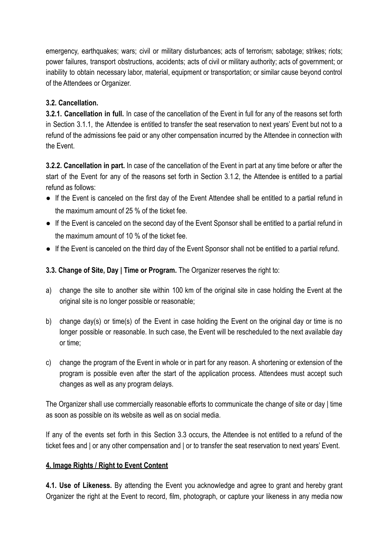emergency, earthquakes; wars; civil or military disturbances; acts of terrorism; sabotage; strikes; riots; power failures, transport obstructions, accidents; acts of civil or military authority; acts of government; or inability to obtain necessary labor, material, equipment or transportation; or similar cause beyond control of the Attendees or Organizer.

# **3.2. Cancellation.**

**3.2.1. Cancellation in full.** In case of the cancellation of the Event in full for any of the reasons set forth in Section 3.1.1, the Attendee is entitled to transfer the seat reservation to next years' Event but not to a refund of the admissions fee paid or any other compensation incurred by the Attendee in connection with the Event.

**3.2.2. Cancellation in part.** In case of the cancellation of the Event in part at any time before or after the start of the Event for any of the reasons set forth in Section 3.1.2, the Attendee is entitled to a partial refund as follows:

- If the Event is canceled on the first day of the Event Attendee shall be entitled to a partial refund in the maximum amount of 25 % of the ticket fee.
- If the Event is canceled on the second day of the Event Sponsor shall be entitled to a partial refund in the maximum amount of 10 % of the ticket fee.
- If the Event is canceled on the third day of the Event Sponsor shall not be entitled to a partial refund.

# **3.3. Change of Site, Day | Time or Program.** The Organizer reserves the right to:

- a) change the site to another site within 100 km of the original site in case holding the Event at the original site is no longer possible or reasonable;
- b) change day(s) or time(s) of the Event in case holding the Event on the original day or time is no longer possible or reasonable. In such case, the Event will be rescheduled to the next available day or time;
- c) change the program of the Event in whole or in part for any reason. A shortening or extension of the program is possible even after the start of the application process. Attendees must accept such changes as well as any program delays.

The Organizer shall use commercially reasonable efforts to communicate the change of site or day | time as soon as possible on its website as well as on social media.

If any of the events set forth in this Section 3.3 occurs, the Attendee is not entitled to a refund of the ticket fees and | or any other compensation and | or to transfer the seat reservation to next years' Event.

### **4. Image Rights / Right to Event Content**

**4.1. Use of Likeness.** By attending the Event you acknowledge and agree to grant and hereby grant Organizer the right at the Event to record, film, photograph, or capture your likeness in any media now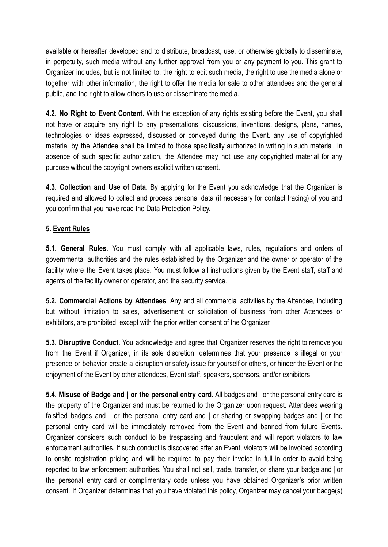available or hereafter developed and to distribute, broadcast, use, or otherwise globally to disseminate, in perpetuity, such media without any further approval from you or any payment to you. This grant to Organizer includes, but is not limited to, the right to edit such media, the right to use the media alone or together with other information, the right to offer the media for sale to other attendees and the general public, and the right to allow others to use or disseminate the media.

**4.2. No Right to Event Content.** With the exception of any rights existing before the Event, you shall not have or acquire any right to any presentations, discussions, inventions, designs, plans, names, technologies or ideas expressed, discussed or conveyed during the Event. any use of copyrighted material by the Attendee shall be limited to those specifically authorized in writing in such material. In absence of such specific authorization, the Attendee may not use any copyrighted material for any purpose without the copyright owners explicit written consent.

**4.3. Collection and Use of Data.** By applying for the Event you acknowledge that the Organizer is required and allowed to collect and process personal data (if necessary for contact tracing) of you and you confirm that you have read the Data Protection Policy.

### **5. Event Rules**

**5.1. General Rules.** You must comply with all applicable laws, rules, regulations and orders of governmental authorities and the rules established by the Organizer and the owner or operator of the facility where the Event takes place. You must follow all instructions given by the Event staff, staff and agents of the facility owner or operator, and the security service.

**5.2. Commercial Actions by Attendees**. Any and all commercial activities by the Attendee, including but without limitation to sales, advertisement or solicitation of business from other Attendees or exhibitors, are prohibited, except with the prior written consent of the Organizer.

**5.3. Disruptive Conduct.** You acknowledge and agree that Organizer reserves the right to remove you from the Event if Organizer, in its sole discretion, determines that your presence is illegal or your presence or behavior create a disruption or safety issue for yourself or others, or hinder the Event or the enjoyment of the Event by other attendees. Event staff, speakers, sponsors, and/or exhibitors,

**5.4. Misuse of Badge and | or the personal entry card.** All badges and | or the personal entry card is the property of the Organizer and must be returned to the Organizer upon request. Attendees wearing falsified badges and I or the personal entry card and I or sharing or swapping badges and I or the personal entry card will be immediately removed from the Event and banned from future Events. Organizer considers such conduct to be trespassing and fraudulent and will report violators to law enforcement authorities. If such conduct is discovered after an Event, violators will be invoiced according to onsite registration pricing and will be required to pay their invoice in full in order to avoid being reported to law enforcement authorities. You shall not sell, trade, transfer, or share your badge and | or the personal entry card or complimentary code unless you have obtained Organizer's prior written consent. If Organizer determines that you have violated this policy, Organizer may cancel your badge(s)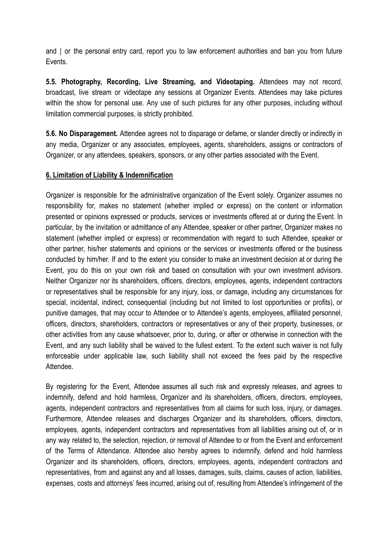and | or the personal entry card, report you to law enforcement authorities and ban you from future Events.

**5.5. Photography, Recording, Live Streaming, and Videotaping.** Attendees may not record, broadcast, live stream or videotape any sessions at Organizer Events. Attendees may take pictures within the show for personal use. Any use of such pictures for any other purposes, including without limitation commercial purposes, is strictly prohibited.

**5.6. No Disparagement.** Attendee agrees not to disparage or defame, or slander directly or indirectly in any media, Organizer or any associates, employees, agents, shareholders, assigns or contractors of Organizer, or any attendees, speakers, sponsors, or any other parties associated with the Event.

### **6. Limitation of Liability & Indemnification**

Organizer is responsible for the administrative organization of the Event solely. Organizer assumes no responsibility for, makes no statement (whether implied or express) on the content or information presented or opinions expressed or products, services or investments offered at or during the Event. In particular, by the invitation or admittance of any Attendee, speaker or other partner, Organizer makes no statement (whether implied or express) or recommendation with regard to such Attendee, speaker or other partner, his/her statements and opinions or the services or investments offered or the business conducted by him/her. If and to the extent you consider to make an investment decision at or during the Event, you do this on your own risk and based on consultation with your own investment advisors. Neither Organizer nor its shareholders, officers, directors, employees, agents, independent contractors or representatives shall be responsible for any injury, loss, or damage, including any circumstances for special, incidental, indirect, consequential (including but not limited to lost opportunities or profits), or punitive damages, that may occur to Attendee or to Attendee's agents, employees, affiliated personnel, officers, directors, shareholders, contractors or representatives or any of their property, businesses, or other activities from any cause whatsoever, prior to, during, or after or otherwise in connection with the Event, and any such liability shall be waived to the fullest extent. To the extent such waiver is not fully enforceable under applicable law, such liability shall not exceed the fees paid by the respective Attendee.

By registering for the Event, Attendee assumes all such risk and expressly releases, and agrees to indemnify, defend and hold harmless, Organizer and its shareholders, officers, directors, employees, agents, independent contractors and representatives from all claims for such loss, injury, or damages. Furthermore, Attendee releases and discharges Organizer and its shareholders, officers, directors, employees, agents, independent contractors and representatives from all liabilities arising out of, or in any way related to, the selection, rejection, or removal of Attendee to or from the Event and enforcement of the Terms of Attendance. Attendee also hereby agrees to indemnify, defend and hold harmless Organizer and its shareholders, officers, directors, employees, agents, independent contractors and representatives, from and against any and all losses, damages, suits, claims, causes of action, liabilities, expenses, costs and attorneys' fees incurred, arising out of, resulting from Attendee's infringement of the